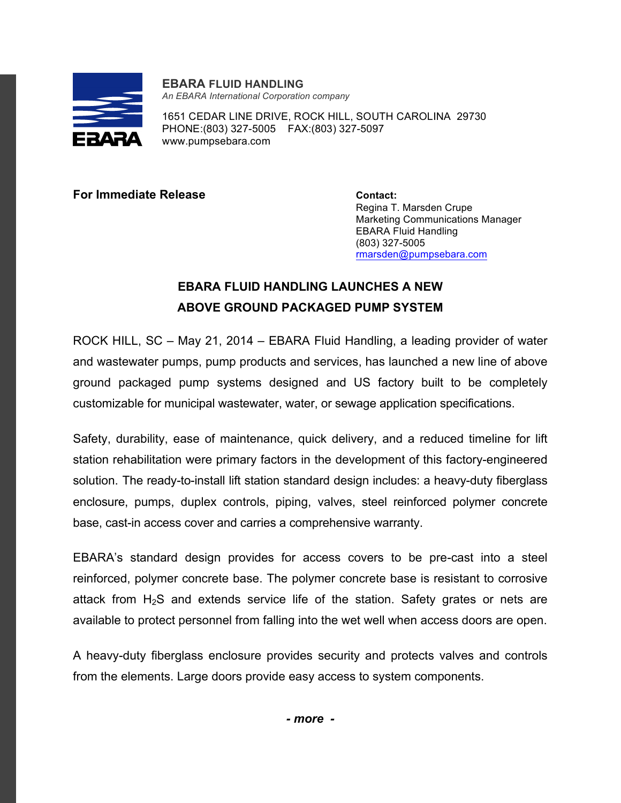

**EBARA FLUID HANDLING** *An EBARA International Corporation company*

1651 CEDAR LINE DRIVE, ROCK HILL, SOUTH CAROLINA 29730 PHONE:(803) 327-5005 FAX:(803) 327-5097 www.pumpsebara.com

**For Immediate Release Contact:** 

Regina T. Marsden Crupe Marketing Communications Manager EBARA Fluid Handling (803) 327-5005 rmarsden@pumpsebara.com

## **EBARA FLUID HANDLING LAUNCHES A NEW ABOVE GROUND PACKAGED PUMP SYSTEM**

ROCK HILL, SC – May 21, 2014 – EBARA Fluid Handling, a leading provider of water and wastewater pumps, pump products and services, has launched a new line of above ground packaged pump systems designed and US factory built to be completely customizable for municipal wastewater, water, or sewage application specifications.

Safety, durability, ease of maintenance, quick delivery, and a reduced timeline for lift station rehabilitation were primary factors in the development of this factory-engineered solution. The ready-to-install lift station standard design includes: a heavy-duty fiberglass enclosure, pumps, duplex controls, piping, valves, steel reinforced polymer concrete base, cast-in access cover and carries a comprehensive warranty.

EBARA's standard design provides for access covers to be pre-cast into a steel reinforced, polymer concrete base. The polymer concrete base is resistant to corrosive attack from  $H_2S$  and extends service life of the station. Safety grates or nets are available to protect personnel from falling into the wet well when access doors are open.

A heavy-duty fiberglass enclosure provides security and protects valves and controls from the elements. Large doors provide easy access to system components.